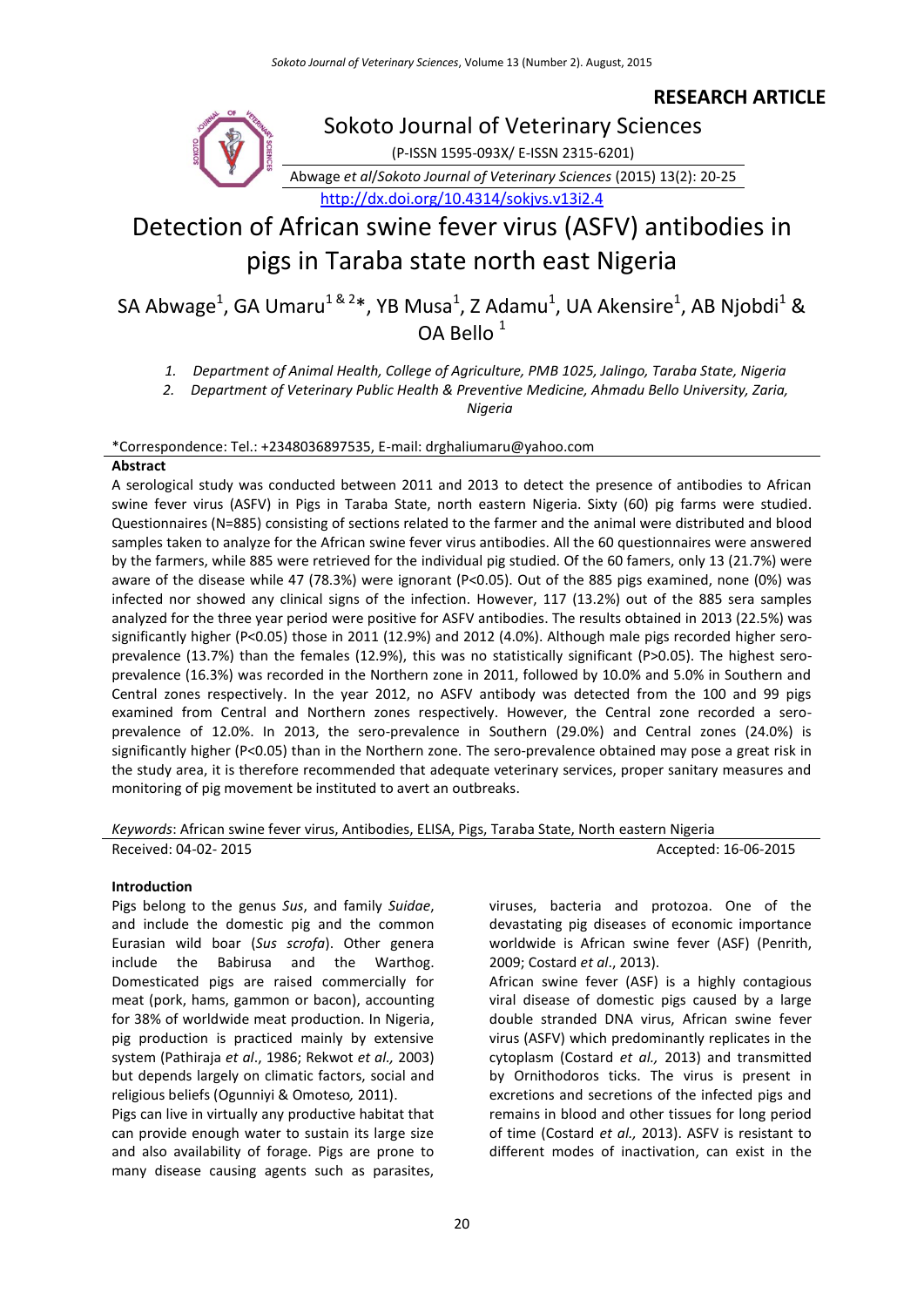# **RESEARCH ARTICLE**



Sokoto Journal of Veterinary Sciences (P-ISSN 1595-093X/ E-ISSN 2315-6201)

Abwage *et al*/*Sokoto Journal of Veterinary Sciences* (2015) 13(2): 20-25

<http://dx.doi.org/10.4314/sokjvs.v13i2.4>

# Detection of African swine fever virus (ASFV) antibodies in pigs in Taraba state north east Nigeria

SA Abwage $^1$ , GA Umaru $^{1\, \&\, 2}$ \*, YB Musa $^1$ , Z Adamu $^1$ , UA Akensire $^1$ , AB Njobdi $^1$  & OA Bello<sup>1</sup>

*1. Department of Animal Health, College of Agriculture, PMB 1025, Jalingo, Taraba State, Nigeria*

*2. Department of Veterinary Public Health & Preventive Medicine, Ahmadu Bello University, Zaria,* 

*Nigeria*

\*Correspondence: Tel.: +2348036897535, E-mail: drghaliumaru@yahoo.com

#### **Abstract**

A serological study was conducted between 2011 and 2013 to detect the presence of antibodies to African swine fever virus (ASFV) in Pigs in Taraba State, north eastern Nigeria. Sixty (60) pig farms were studied. Questionnaires (N=885) consisting of sections related to the farmer and the animal were distributed and blood samples taken to analyze for the African swine fever virus antibodies. All the 60 questionnaires were answered by the farmers, while 885 were retrieved for the individual pig studied. Of the 60 famers, only 13 (21.7%) were aware of the disease while 47 (78.3%) were ignorant (P<0.05). Out of the 885 pigs examined, none (0%) was infected nor showed any clinical signs of the infection. However, 117 (13.2%) out of the 885 sera samples analyzed for the three year period were positive for ASFV antibodies. The results obtained in 2013 (22.5%) was significantly higher (P<0.05) those in 2011 (12.9%) and 2012 (4.0%). Although male pigs recorded higher seroprevalence (13.7%) than the females (12.9%), this was no statistically significant (P>0.05). The highest seroprevalence (16.3%) was recorded in the Northern zone in 2011, followed by 10.0% and 5.0% in Southern and Central zones respectively. In the year 2012, no ASFV antibody was detected from the 100 and 99 pigs examined from Central and Northern zones respectively. However, the Central zone recorded a seroprevalence of 12.0%. In 2013, the sero-prevalence in Southern (29.0%) and Central zones (24.0%) is significantly higher (P<0.05) than in the Northern zone. The sero-prevalence obtained may pose a great risk in the study area, it is therefore recommended that adequate veterinary services, proper sanitary measures and monitoring of pig movement be instituted to avert an outbreaks.

*Keywords*: African swine fever virus, Antibodies, ELISA, Pigs, Taraba State, North eastern Nigeria

Received: 04-02- 2015 **Accepted: 16-06-2015** Accepted: 16-06-2015

#### **Introduction**

Pigs belong to the [genus](http://en.wikipedia.org/wiki/Genus) *Sus*, and [family](http://en.wikipedia.org/wiki/Family_(biology)) *[Suidae](http://en.wikipedia.org/wiki/Suidae)*, and include the [domestic pig](http://en.wikipedia.org/wiki/Domestic_pig) and the common Eurasian [wild boar](http://en.wikipedia.org/wiki/Wild_boar) (*[Sus scrofa](http://en.wikipedia.org/wiki/Sus_scrofa)*). Other genera include the [Babirusa](http://en.wikipedia.org/wiki/Babirusa) and the [Warthog.](http://en.wikipedia.org/wiki/Warthog) [Domesticated pigs](http://en.wikipedia.org/wiki/Domestic_pig) are raised commercially for meat [\(pork,](http://en.wikipedia.org/wiki/Pork) [hams,](http://en.wikipedia.org/wiki/Hams) [gammon](http://en.wikipedia.org/wiki/Ham#United_Kingdom) or [bacon\)](http://en.wikipedia.org/wiki/Bacon), accounting for 38% of worldwide meat production. In Nigeria, pig production is practiced mainly by extensive system (Pathiraja *et al*., 1986; Rekwot *et al.,* 2003) but depends largely on climatic factors, social and religious beliefs (Ogunniyi & Omoteso*,* 2011).

Pigs can live in virtually any productive habitat that can provide enough water to sustain its large size and also availability of forage. Pigs are prone to many disease causing agents such as parasites,

viruses, bacteria and protozoa. One of the devastating pig diseases of economic importance worldwide is African swine fever (ASF) (Penrith, 2009; Costard *et al*., 2013).

African swine fever (ASF) is a highly contagious viral disease of domestic pigs caused by a large double stranded DNA virus, African swine fever virus (ASFV) which predominantly replicates in the cytoplasm (Costard *et al.,* 2013) and transmitted by Ornithodoros ticks. The virus is present in excretions and secretions of the infected pigs and remains in blood and other tissues for long period of time (Costard *et al.,* 2013). ASFV is resistant to different modes of inactivation, can exist in the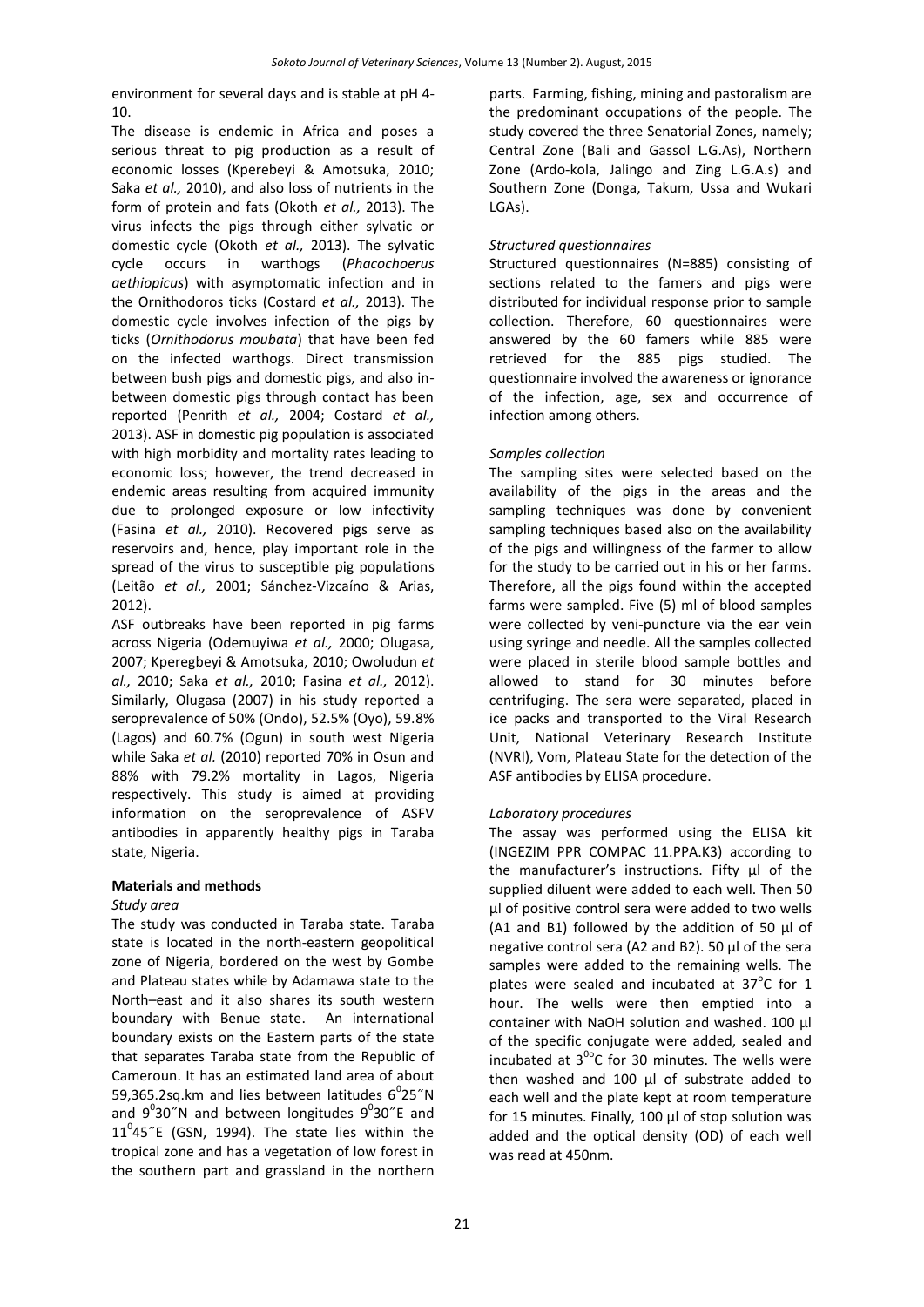environment for several days and is stable at pH 4- 10.

The disease is endemic in Africa and poses a serious threat to pig production as a result of economic losses (Kperebeyi & Amotsuka, 2010; Saka *et al.,* 2010), and also loss of nutrients in the form of protein and fats (Okoth *et al.,* 2013). The virus infects the pigs through either sylvatic or domestic cycle (Okoth *et al.,* 2013). The sylvatic cycle occurs in warthogs (*Phacochoerus aethiopicus*) with asymptomatic infection and in the Ornithodoros ticks (Costard *et al.,* 2013). The domestic cycle involves infection of the pigs by ticks (*Ornithodorus moubata*) that have been fed on the infected warthogs. Direct transmission between bush pigs and domestic pigs, and also inbetween domestic pigs through contact has been reported (Penrith *et al.,* 2004; Costard *et al.,* 2013). ASF in domestic pig population is associated with high morbidity and mortality rates leading to economic loss; however, the trend decreased in endemic areas resulting from acquired immunity due to prolonged exposure or low infectivity (Fasina *et al.,* 2010). Recovered pigs serve as reservoirs and, hence, play important role in the spread of the virus to susceptible pig populations (Leitão *et al.,* 2001; Sánchez-Vizcaíno & Arias, 2012).

ASF outbreaks have been reported in pig farms across Nigeria (Odemuyiwa *et al.,* 2000; Olugasa, 2007; Kperegbeyi & Amotsuka, 2010; Owoludun *et al.,* 2010; Saka *et al.,* 2010; Fasina *et al.,* 2012). Similarly, Olugasa (2007) in his study reported a seroprevalence of 50% (Ondo), 52.5% (Oyo), 59.8% (Lagos) and 60.7% (Ogun) in south west Nigeria while Saka *et al.* (2010) reported 70% in Osun and 88% with 79.2% mortality in Lagos, Nigeria respectively. This study is aimed at providing information on the seroprevalence of ASFV antibodies in apparently healthy pigs in Taraba state, Nigeria.

#### **Materials and methods**

#### *Study area*

The study was conducted in Taraba state. Taraba state is located in the north-eastern geopolitical zone of Nigeria, bordered on the west by Gombe and Plateau states while by Adamawa state to the North–east and it also shares its south western boundary with Benue state. An international boundary exists on the Eastern parts of the state that separates Taraba state from the Republic of Cameroun. It has an estimated land area of about 59,365.2sq.km and lies between latitudes  $6^{\circ}$ 25"N and  $9^030''$ N and between longitudes  $9^030''$ E and  $11^0$ 45"E (GSN, 1994). The state lies within the tropical zone and has a vegetation of low forest in the southern part and grassland in the northern

parts. Farming, fishing, mining and pastoralism are the predominant occupations of the people. The study covered the three Senatorial Zones, namely; Central Zone (Bali and Gassol L.G.As), Northern Zone (Ardo-kola, Jalingo and Zing L.G.A.s) and Southern Zone (Donga, Takum, Ussa and Wukari LGAs).

#### *Structured questionnaires*

Structured questionnaires (N=885) consisting of sections related to the famers and pigs were distributed for individual response prior to sample collection. Therefore, 60 questionnaires were answered by the 60 famers while 885 were retrieved for the 885 pigs studied. The questionnaire involved the awareness or ignorance of the infection, age, sex and occurrence of infection among others.

#### *Samples collection*

The sampling sites were selected based on the availability of the pigs in the areas and the sampling techniques was done by convenient sampling techniques based also on the availability of the pigs and willingness of the farmer to allow for the study to be carried out in his or her farms. Therefore, all the pigs found within the accepted farms were sampled. Five (5) ml of blood samples were collected by veni-puncture via the ear vein using syringe and needle. All the samples collected were placed in sterile blood sample bottles and allowed to stand for 30 minutes before centrifuging. The sera were separated, placed in ice packs and transported to the Viral Research Unit, National Veterinary Research Institute (NVRI), Vom, Plateau State for the detection of the ASF antibodies by ELISA procedure.

## *Laboratory procedures*

The assay was performed using the ELISA kit (INGEZIM PPR COMPAC 11.PPA.K3) according to the manufacturer's instructions. Fifty µl of the supplied diluent were added to each well. Then 50 µl of positive control sera were added to two wells (A1 and B1) followed by the addition of 50 µl of negative control sera (A2 and B2). 50 µl of the sera samples were added to the remaining wells. The plates were sealed and incubated at  $37^{\circ}$ C for 1 hour. The wells were then emptied into a container with NaOH solution and washed. 100 µl of the specific conjugate were added, sealed and incubated at  $3^{00}$ C for 30 minutes. The wells were then washed and 100 µl of substrate added to each well and the plate kept at room temperature for 15 minutes. Finally, 100 µl of stop solution was added and the optical density (OD) of each well was read at 450nm.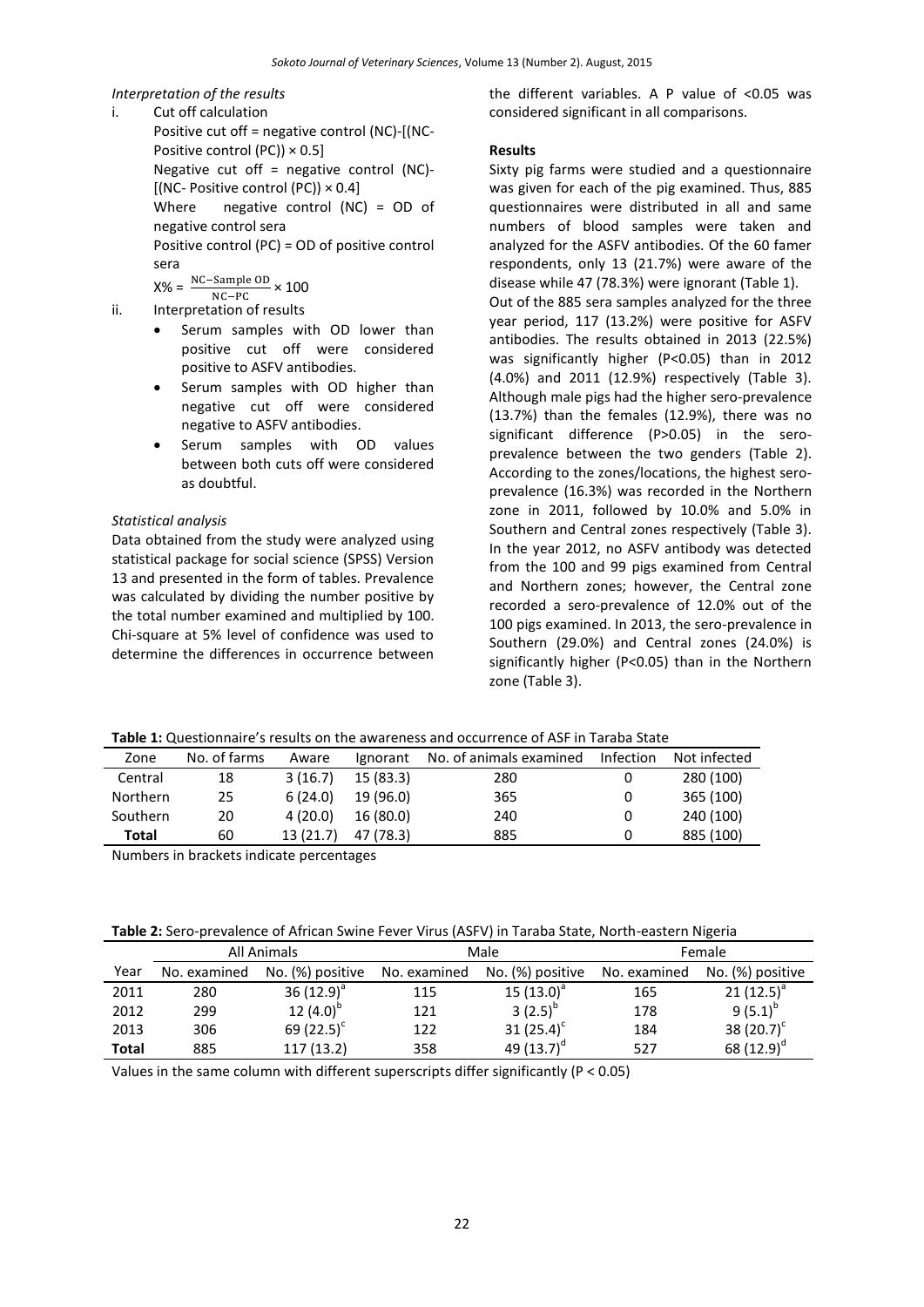# *Interpretation of the results*

i. Cut off calculation Positive cut off = negative control (NC)-[(NC-Positive control (PC))  $\times$  0.5] Negative cut off = negative control  $(NC)$ - $[$ (NC- Positive control (PC))  $\times$  0.4] Where negative control (NC) = OD of negative control sera Positive control (PC) = OD of positive control sera

 $X% =$  $NC-PC$  $\frac{\text{NC-Sample OD}}{2} \times 100$ 

- ii. Interpretation of results
	- Serum samples with OD lower than positive cut off were considered positive to ASFV antibodies.
	- Serum samples with OD higher than negative cut off were considered negative to ASFV antibodies.
	- Serum samples with OD values between both cuts off were considered as doubtful.

#### *Statistical analysis*

Data obtained from the study were analyzed using statistical package for social science (SPSS) Version 13 and presented in the form of tables. Prevalence was calculated by dividing the number positive by the total number examined and multiplied by 100. Chi-square at 5% level of confidence was used to determine the differences in occurrence between

the different variables. A P value of <0.05 was considered significant in all comparisons.

#### **Results**

Sixty pig farms were studied and a questionnaire was given for each of the pig examined. Thus, 885 questionnaires were distributed in all and same numbers of blood samples were taken and analyzed for the ASFV antibodies. Of the 60 famer respondents, only 13 (21.7%) were aware of the disease while 47 (78.3%) were ignorant (Table 1). Out of the 885 sera samples analyzed for the three year period, 117 (13.2%) were positive for ASFV antibodies. The results obtained in 2013 (22.5%) was significantly higher (P<0.05) than in 2012 (4.0%) and 2011 (12.9%) respectively (Table 3). Although male pigs had the higher sero-prevalence (13.7%) than the females (12.9%), there was no significant difference (P>0.05) in the seroprevalence between the two genders (Table 2). According to the zones/locations, the highest seroprevalence (16.3%) was recorded in the Northern zone in 2011, followed by 10.0% and 5.0% in Southern and Central zones respectively (Table 3). In the year 2012, no ASFV antibody was detected from the 100 and 99 pigs examined from Central and Northern zones; however, the Central zone recorded a sero-prevalence of 12.0% out of the 100 pigs examined. In 2013, the sero-prevalence in Southern (29.0%) and Central zones (24.0%) is significantly higher (P<0.05) than in the Northern zone (Table 3).

| Table 1: Questionnaire's results on the awareness and occurrence of ASF in Taraba State |  |
|-----------------------------------------------------------------------------------------|--|
|-----------------------------------------------------------------------------------------|--|

| Zone            | No. of farms | Aware    | <b>lgnorant</b> | No. of animals examined | Infection | Not infected |
|-----------------|--------------|----------|-----------------|-------------------------|-----------|--------------|
| Central         | 18           | 3(16.7)  | 15(83.3)        | 280                     |           | 280 (100)    |
| <b>Northern</b> | 25           | 6(24.0)  | 19 (96.0)       | 365                     |           | 365 (100)    |
| Southern        | 20           | 4(20.0)  | 16 (80.0)       | 240                     |           | 240 (100)    |
| Total           | 60           | 13(21.7) | 47 (78.3)       | 885                     |           | 885 (100)    |
|                 |              |          |                 |                         |           |              |

Numbers in brackets indicate percentages

|  | Table 2: Sero-prevalence of African Swine Fever Virus (ASFV) in Taraba State, North-eastern Nigeria |
|--|-----------------------------------------------------------------------------------------------------|
|--|-----------------------------------------------------------------------------------------------------|

|       | All Animals  |                  |              | Male             | Female       |                  |  |
|-------|--------------|------------------|--------------|------------------|--------------|------------------|--|
| Year  | No. examined | No. (%) positive | No. examined | No. (%) positive | No. examined | No. (%) positive |  |
| 2011  | 280          | 36 $(12.9)^a$    | 115          | 15 $(13.0)^{a}$  | 165          | 21 $(12.5)^{a}$  |  |
| 2012  | 299          | 12 $(4.0)^{D}$   | 121          | 3 $(2.5)^{p}$    | 178          | $9(5.1)^{p}$     |  |
| 2013  | 306          | 69 $(22.5)^c$    | 122          | 31 $(25.4)^c$    | 184          | 38 $(20.7)^c$    |  |
| Total | 885          | 117(13.2)        | 358          | 49 $(13.7)^d$    | 527          | 68 $(12.9)^d$    |  |

Values in the same column with different superscripts differ significantly (P < 0.05)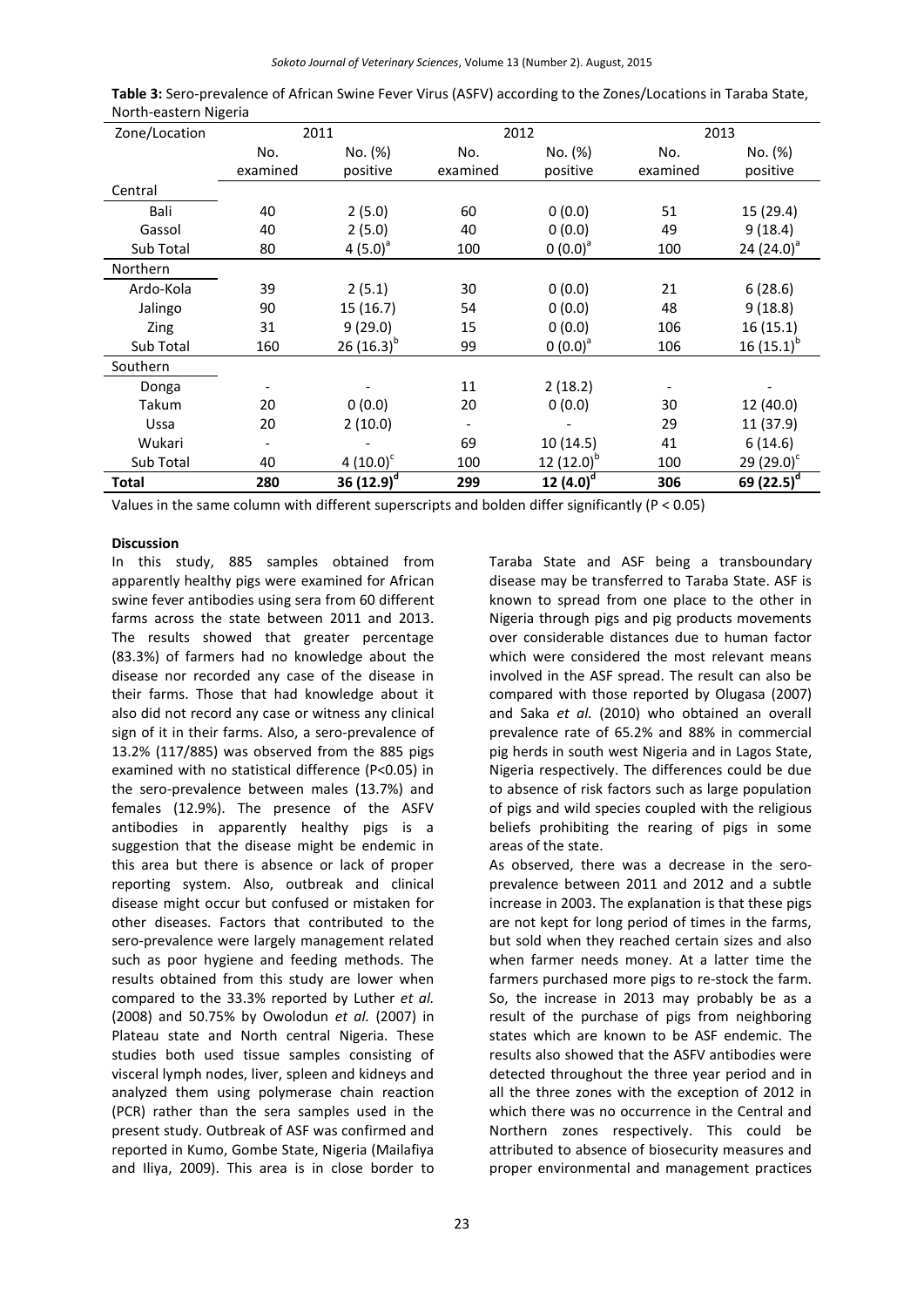| Zone/Location   | 2011<br>2012 |                 |          |                 | 2013     |                        |
|-----------------|--------------|-----------------|----------|-----------------|----------|------------------------|
|                 | No.          | No. (%)         | No.      | No. (%)         | No.      | No. (%)                |
|                 | examined     | positive        | examined | positive        | examined | positive               |
| Central         |              |                 |          |                 |          |                        |
| Bali            | 40           | 2(5.0)          | 60       | 0(0.0)          | 51       | 15 (29.4)              |
| Gassol          | 40           | 2(5.0)          | 40       | 0(0.0)          | 49       | 9(18.4)                |
| Sub Total       | 80           | 4 $(5.0)^a$     | 100      | $0(0.0)^a$      | 100      | 24 $(24.0)^{a}$        |
| <b>Northern</b> |              |                 |          |                 |          |                        |
| Ardo-Kola       | 39           | 2(5.1)          | 30       | 0(0.0)          | 21       | 6(28.6)                |
| Jalingo         | 90           | 15(16.7)        | 54       | 0(0.0)          | 48       | 9(18.8)                |
| Zing            | 31           | 9(29.0)         | 15       | 0(0.0)          | 106      | 16(15.1)               |
| Sub Total       | 160          | 26 $(16.3)^{b}$ | 99       | $0(0.0)^a$      | 106      | 16 $(15.1)^{b}$        |
| Southern        |              |                 |          |                 |          |                        |
| Donga           |              |                 | 11       | 2(18.2)         |          |                        |
| Takum           | 20           | 0(0.0)          | 20       | 0(0.0)          | 30       | 12 (40.0)              |
| Ussa            | 20           | 2(10.0)         |          |                 | 29       | 11 (37.9)              |
| Wukari          |              |                 | 69       | 10(14.5)        | 41       | 6(14.6)                |
| Sub Total       | 40           | 4 $(10.0)^c$    | 100      | 12 $(12.0)^{b}$ | 100      | 29 $(29.0)^c$          |
| Total           | 280          | 36 $(12.9)^d$   | 299      | 12 $(4.0)^d$    | 306      | 69 (22.5) <sup>c</sup> |

| Table 3: Sero-prevalence of African Swine Fever Virus (ASFV) according to the Zones/Locations in Taraba State, |  |  |
|----------------------------------------------------------------------------------------------------------------|--|--|
| North-eastern Nigeria                                                                                          |  |  |

Values in the same column with different superscripts and bolden differ significantly (P < 0.05)

#### **Discussion**

In this study, 885 samples obtained from apparently healthy pigs were examined for African swine fever antibodies using sera from 60 different farms across the state between 2011 and 2013. The results showed that greater percentage (83.3%) of farmers had no knowledge about the disease nor recorded any case of the disease in their farms. Those that had knowledge about it also did not record any case or witness any clinical sign of it in their farms. Also, a sero-prevalence of 13.2% (117/885) was observed from the 885 pigs examined with no statistical difference (P<0.05) in the sero-prevalence between males (13.7%) and females (12.9%). The presence of the ASFV antibodies in apparently healthy pigs is a suggestion that the disease might be endemic in this area but there is absence or lack of proper reporting system. Also, outbreak and clinical disease might occur but confused or mistaken for other diseases. Factors that contributed to the sero-prevalence were largely management related such as poor hygiene and feeding methods. The results obtained from this study are lower when compared to the 33.3% reported by Luther *et al.* (2008) and 50.75% by Owolodun *et al.* (2007) in Plateau state and North central Nigeria. These studies both used tissue samples consisting of visceral lymph nodes, liver, spleen and kidneys and analyzed them using polymerase chain reaction (PCR) rather than the sera samples used in the present study. Outbreak of ASF was confirmed and reported in Kumo, Gombe State, Nigeria (Mailafiya and Iliya, 2009). This area is in close border to

compared with those reported by Olugasa (2007) and Saka *et al.* (2010) who obtained an overall prevalence rate of 65.2% and 88% in commercial pig herds in south west Nigeria and in Lagos State, Nigeria respectively. The differences could be due to absence of risk factors such as large population of pigs and wild species coupled with the religious beliefs prohibiting the rearing of pigs in some areas of the state. As observed, there was a decrease in the seroprevalence between 2011 and 2012 and a subtle increase in 2003. The explanation is that these pigs are not kept for long period of times in the farms, but sold when they reached certain sizes and also when farmer needs money. At a latter time the farmers purchased more pigs to re-stock the farm.

Taraba State and ASF being a transboundary disease may be transferred to Taraba State. ASF is known to spread from one place to the other in Nigeria through pigs and pig products movements over considerable distances due to human factor which were considered the most relevant means involved in the ASF spread. The result can also be

So, the increase in 2013 may probably be as a result of the purchase of pigs from neighboring states which are known to be ASF endemic. The results also showed that the ASFV antibodies were detected throughout the three year period and in all the three zones with the exception of 2012 in which there was no occurrence in the Central and Northern zones respectively. This could be attributed to absence of biosecurity measures and proper environmental and management practices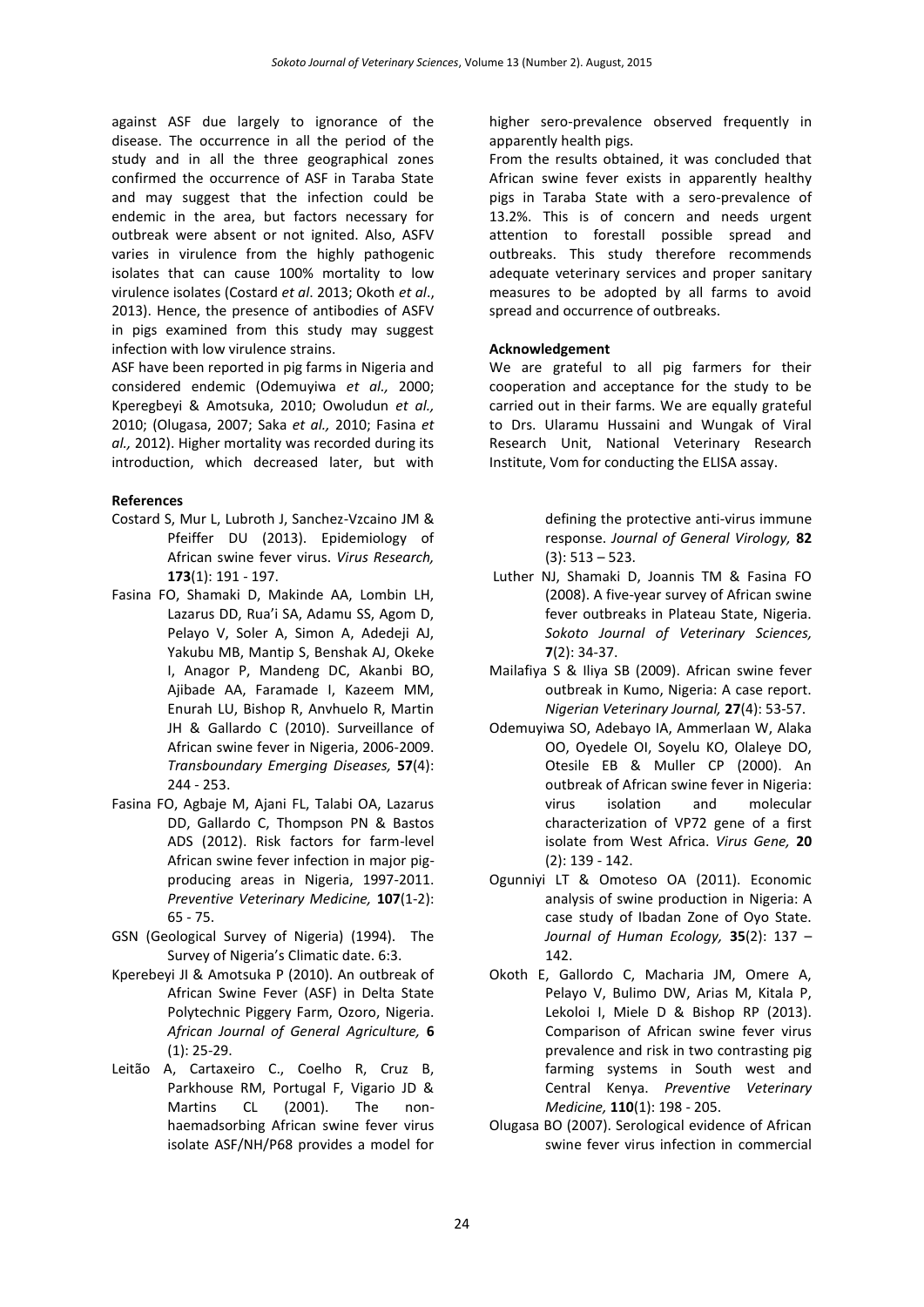against ASF due largely to ignorance of the disease. The occurrence in all the period of the study and in all the three geographical zones confirmed the occurrence of ASF in Taraba State and may suggest that the infection could be endemic in the area, but factors necessary for outbreak were absent or not ignited. Also, ASFV varies in virulence from the highly pathogenic isolates that can cause 100% mortality to low virulence isolates (Costard *et al*. 2013; Okoth *et al*., 2013). Hence, the presence of antibodies of ASFV in pigs examined from this study may suggest infection with low virulence strains.

ASF have been reported in pig farms in Nigeria and considered endemic (Odemuyiwa *et al.,* 2000; Kperegbeyi & Amotsuka, 2010; Owoludun *et al.,* 2010; (Olugasa, 2007; Saka *et al.,* 2010; Fasina *et al.,* 2012). Higher mortality was recorded during its introduction, which decreased later, but with

## **References**

- Costard S, Mur L, Lubroth J, Sanchez-Vzcaino JM & Pfeiffer DU (2013). Epidemiology of African swine fever virus. *Virus Research,* **173**(1): 191 - 197.
- Fasina FO, Shamaki D, Makinde AA, Lombin LH, Lazarus DD, Rua'i SA, Adamu SS, Agom D, Pelayo V, Soler A, Simon A, Adedeji AJ, Yakubu MB, Mantip S, Benshak AJ, Okeke I, Anagor P, Mandeng DC, Akanbi BO, Ajibade AA, Faramade I, Kazeem MM, Enurah LU, Bishop R, Anvhuelo R, Martin JH & Gallardo C (2010). Surveillance of African swine fever in Nigeria, 2006-2009. *Transboundary Emerging Diseases,* **57**(4): 244 - 253.
- Fasina FO, Agbaje M, Ajani FL, Talabi OA, Lazarus DD, Gallardo C, Thompson PN & Bastos ADS (2012). Risk factors for farm-level African swine fever infection in major pigproducing areas in Nigeria, 1997-2011. *Preventive Veterinary Medicine,* **107**(1-2): 65 - 75.
- GSN (Geological Survey of Nigeria) (1994). The Survey of Nigeria's Climatic date. 6:3.
- Kperebeyi JI & Amotsuka P (2010). An outbreak of African Swine Fever (ASF) in Delta State Polytechnic Piggery Farm, Ozoro, Nigeria. *African Journal of General Agriculture,* **6** (1): 25-29.
- Leitão A, Cartaxeiro C., Coelho R, Cruz B, Parkhouse RM, Portugal F, Vigario JD & Martins CL (2001). The nonhaemadsorbing African swine fever virus isolate ASF/NH/P68 provides a model for

higher sero-prevalence observed frequently in apparently health pigs.

From the results obtained, it was concluded that African swine fever exists in apparently healthy pigs in Taraba State with a sero-prevalence of 13.2%. This is of concern and needs urgent attention to forestall possible spread and outbreaks. This study therefore recommends adequate veterinary services and proper sanitary measures to be adopted by all farms to avoid spread and occurrence of outbreaks.

# **Acknowledgement**

We are grateful to all pig farmers for their cooperation and acceptance for the study to be carried out in their farms. We are equally grateful to Drs. Ularamu Hussaini and Wungak of Viral Research Unit, National Veterinary Research Institute, Vom for conducting the ELISA assay.

> defining the protective anti-virus immune response. *Journal of General Virology,* **82** (3): 513 – 523.

- Luther NJ, Shamaki D, Joannis TM & Fasina FO (2008). A five-year survey of African swine fever outbreaks in Plateau State, Nigeria. *Sokoto Journal of Veterinary Sciences,*  **7**(2): 34-37.
- Mailafiya S & Iliya SB (2009). African swine fever outbreak in Kumo, Nigeria: A case report. *Nigerian Veterinary Journal,* **27**(4): 53-57.
- Odemuyiwa SO, Adebayo IA, Ammerlaan W, Alaka OO, Oyedele OI, Soyelu KO, Olaleye DO, Otesile EB & Muller CP (2000). An outbreak of African swine fever in Nigeria: virus isolation and molecular characterization of VP72 gene of a first isolate from West Africa. *Virus Gene,* **20** (2): 139 - 142.
- Ogunniyi LT & Omoteso OA (2011). Economic analysis of swine production in Nigeria: A case study of Ibadan Zone of Oyo State. *Journal of Human Ecology,* **35**(2): 137 – 142.
- Okoth E, Gallordo C, Macharia JM, Omere A, Pelayo V, Bulimo DW, Arias M, Kitala P, Lekoloi I, Miele D & Bishop RP (2013). Comparison of African swine fever virus prevalence and risk in two contrasting pig farming systems in South west and Central Kenya. *Preventive Veterinary Medicine,* **110**(1): 198 - 205.
- Olugasa BO (2007). Serological evidence of African swine fever virus infection in commercial